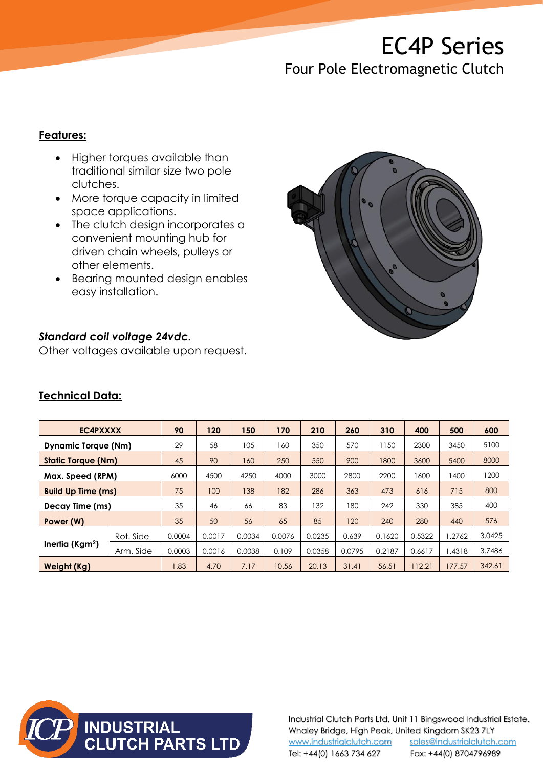# EC4P Series

## Four Pole Electromagnetic Clutch

#### **Features:**

- Higher torques available than traditional similar size two pole clutches.
- More torque capacity in limited space applications.
- The clutch design incorporates a convenient mounting hub for driven chain wheels, pulleys or other elements.
- Bearing mounted design enables easy installation.



#### *Standard coil voltage 24vdc.*

Other voltages available upon request.

| EC4PXXXX                   |           | 90     | 120    | 150    | 170    | 210    | 260    | 310    | 400    | 500    | 600    |
|----------------------------|-----------|--------|--------|--------|--------|--------|--------|--------|--------|--------|--------|
| <b>Dynamic Torque (Nm)</b> |           | 29     | 58     | 105    | 160    | 350    | 570    | 150    | 2300   | 3450   | 5100   |
| <b>Static Torque (Nm)</b>  |           | 45     | 90     | 160    | 250    | 550    | 900    | 1800   | 3600   | 5400   | 8000   |
| Max. Speed (RPM)           |           | 6000   | 4500   | 4250   | 4000   | 3000   | 2800   | 2200   | 1600   | 1400   | 1200   |
| <b>Build Up Time (ms)</b>  |           | 75     | 100    | 138    | 182    | 286    | 363    | 473    | 616    | 715    | 800    |
| Decay Time (ms)            |           | 35     | 46     | 66     | 83     | 132    | 180    | 242    | 330    | 385    | 400    |
| Power (W)                  |           | 35     | 50     | 56     | 65     | 85     | 120    | 240    | 280    | 440    | 576    |
| Inertia ( $Kgm2$ )         | Rot. Side | 0.0004 | 0.0017 | 0.0034 | 0.0076 | 0.0235 | 0.639  | 0.1620 | 0.5322 | 1.2762 | 3.0425 |
|                            | Arm. Side | 0.0003 | 0.0016 | 0.0038 | 0.109  | 0.0358 | 0.0795 | 0.2187 | 0.6617 | 1.4318 | 3.7486 |
| <b>Weight (Kg)</b>         |           | 1.83   | 4.70   | 7.17   | 10.56  | 20.13  | 31.41  | 56.51  | 112.21 | 177.57 | 342.61 |

#### **Technical Data:**



Industrial Clutch Parts Ltd, Unit 11 Bingswood Industrial Estate, Whaley Bridge, High Peak, United Kingdom SK23 7LY [www.industrialclutch.com](http://www.industrialclutch.com/) [sales@industrialclutch.com](mailto:sales@industrialclutch.com) Tel: +44(0) 1663 734 627 Fax: +44(0) 8704796989